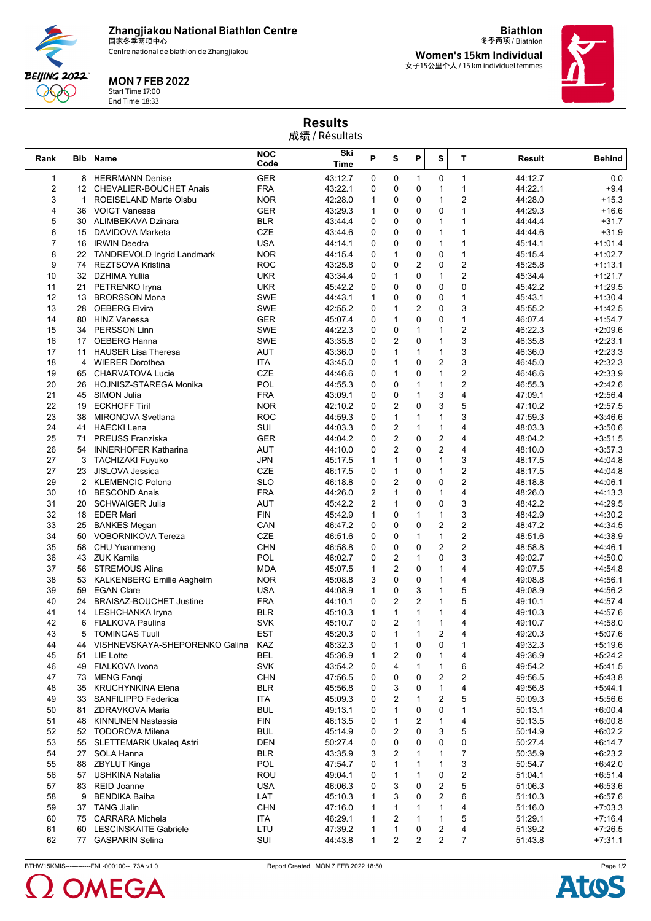**Zhangjiakou National Biathlon Centre** 国家冬季两项中心

Centre national de biathlon de Zhangjiakou



## MON 7 FEB 2022

Start Time 17:00 End Time 18:33

冬季两项 / Biathlon **Women's 15km Individual** 女子15公里个人 / 15 km individuel femmes

**Biathlon**



Results 成绩 / Résultats

| Rank                |              | <b>Bib Name</b>                                 | <b>NOC</b><br>Code       | Ski<br>Time        | P                   | S                 | P              | S                 | T                       | Result             | <b>Behind</b>          |
|---------------------|--------------|-------------------------------------------------|--------------------------|--------------------|---------------------|-------------------|----------------|-------------------|-------------------------|--------------------|------------------------|
| $\mathbf{1}$        |              | 8 HERRMANN Denise                               | <b>GER</b>               | 43:12.7            | 0                   | 0                 | $\mathbf{1}$   | 0                 | $\mathbf{1}$            | 44:12.7            | 0.0                    |
| $\overline{2}$      | 12           | CHEVALIER-BOUCHET Anais                         | <b>FRA</b>               | 43:22.1            | 0                   | $\mathbf 0$       | 0              | $\mathbf{1}$      | $\mathbf{1}$            | 44:22.1            | $+9.4$                 |
| 3                   | $\mathbf{1}$ | ROEISELAND Marte Olsbu                          | <b>NOR</b>               | 42:28.0            | 1                   | 0                 | 0              | $\mathbf{1}$      | 2                       | 44:28.0            | $+15.3$                |
| 4                   | 36           | VOIGT Vanessa                                   | <b>GER</b>               | 43:29.3            | 1                   | 0                 | 0              | 0                 | 1                       | 44:29.3            | $+16.6$                |
| 5                   | 30           | ALIMBEKAVA Dzinara                              | <b>BLR</b>               | 43:44.4            | 0                   | $\mathbf 0$       | 0              | $\mathbf{1}$      | $\mathbf{1}$            | 44:44.4            | $+31.7$                |
| 6                   | 15           | DAVIDOVA Marketa                                | CZE                      | 43:44.6            | 0                   | 0                 | $\Omega$       | $\mathbf{1}$      | 1                       | 44:44.6            | $+31.9$                |
| $\overline{7}$<br>8 | 16<br>22     | <b>IRWIN Deedra</b>                             | <b>USA</b><br><b>NOR</b> | 44:14.1<br>44:15.4 | 0<br>0              | 0<br>1            | 0<br>0         | $\mathbf{1}$<br>0 | 1<br>$\mathbf{1}$       | 45:14.1<br>45:15.4 | $+1:01.4$<br>$+1:02.7$ |
| 9                   | 74           | TANDREVOLD Ingrid Landmark<br>REZTSOVA Kristina | <b>ROC</b>               | 43:25.8            | 0                   | 0                 | $\overline{c}$ | 0                 | $\overline{\mathbf{c}}$ | 45:25.8            | $+1:13.1$              |
| 10                  |              | 32 DZHIMA Yulija                                | <b>UKR</b>               | 43:34.4            | 0                   | 1                 | 0              | $\mathbf{1}$      | $\overline{2}$          | 45:34.4            | $+1:21.7$              |
| 11                  | 21           | PETRENKO Iryna                                  | <b>UKR</b>               | 45:42.2            | 0                   | $\mathbf 0$       | 0              | 0                 | $\mathbf 0$             | 45:42.2            | $+1:29.5$              |
| 12                  | 13           | <b>BRORSSON Mona</b>                            | <b>SWE</b>               | 44:43.1            | 1                   | 0                 | 0              | 0                 | $\mathbf{1}$            | 45:43.1            | $+1:30.4$              |
| 13                  | 28           | <b>OEBERG Elvira</b>                            | <b>SWE</b>               | 42:55.2            | 0                   | $\mathbf{1}$      | $\overline{c}$ | 0                 | 3                       | 45:55.2            | $+1:42.5$              |
| 14                  | 80           | <b>HINZ Vanessa</b>                             | <b>GER</b>               | 45:07.4            | 0                   | 1                 | 0              | 0                 | $\mathbf{1}$            | 46:07.4            | $+1:54.7$              |
| 15                  | 34           | <b>PERSSON Linn</b>                             | <b>SWE</b>               | 44:22.3            | 0                   | $\mathbf 0$       | $\mathbf{1}$   | $\mathbf{1}$      | $\overline{2}$          | 46:22.3            | $+2:09.6$              |
| 16                  | 17           | <b>OEBERG Hanna</b>                             | <b>SWE</b>               | 43:35.8            | 0                   | 2                 | 0              | $\mathbf{1}$      | 3                       | 46:35.8            | $+2:23.1$              |
| 17                  | 11           | <b>HAUSER Lisa Theresa</b>                      | <b>AUT</b>               | 43:36.0            | 0                   | $\mathbf{1}$      | $\mathbf{1}$   | $\mathbf{1}$      | 3                       | 46:36.0            | $+2:23.3$              |
| 18                  | 4            | <b>WIERER Dorothea</b>                          | <b>ITA</b>               | 43:45.0            | 0                   | $\mathbf{1}$      | 0              | $\overline{2}$    | 3                       | 46:45.0            | $+2:32.3$              |
| 19                  | 65           | CHARVATOVA Lucie                                | <b>CZE</b>               | 44:46.6            | 0                   | $\mathbf{1}$      | 0              | $\mathbf{1}$      | $\overline{\mathbf{c}}$ | 46:46.6            | $+2:33.9$              |
| 20                  | 26           | HOJNISZ-STAREGA Monika                          | POL                      | 44:55.3            | 0                   | 0                 | $\mathbf{1}$   | $\mathbf{1}$      | $\overline{2}$          | 46:55.3            | $+2:42.6$              |
| 21                  | 45           | <b>SIMON Julia</b>                              | <b>FRA</b>               | 43:09.1            | 0                   | 0                 | $\mathbf{1}$   | 3                 | 4                       | 47:09.1            | $+2:56.4$              |
| 22                  | 19           | <b>ECKHOFF Tiril</b>                            | <b>NOR</b>               | 42:10.2            | 0                   | $\overline{c}$    | 0              | 3                 | 5                       | 47:10.2            | $+2:57.5$              |
| 23                  | 38           | <b>MIRONOVA Svetlana</b>                        | <b>ROC</b>               | 44:59.3            | 0                   | $\mathbf{1}$      | $\mathbf{1}$   | $\mathbf{1}$      | 3                       | 47:59.3            | $+3:46.6$              |
| 24                  | 41           | <b>HAECKI Lena</b>                              | SUI                      | 44:03.3            | 0                   | 2                 | $\mathbf{1}$   | $\mathbf{1}$      | 4                       | 48:03.3            | $+3:50.6$              |
| 25                  | 71           | <b>PREUSS Franziska</b>                         | <b>GER</b>               | 44:04.2            | 0                   | $\overline{c}$    | 0              | $\overline{2}$    | $\overline{4}$          | 48:04.2            | $+3:51.5$              |
| 26                  | 54           | <b>INNERHOFER Katharina</b>                     | <b>AUT</b>               | 44:10.0            | 0                   | $\overline{c}$    | 0              | $\overline{2}$    | $\overline{4}$          | 48:10.0            | $+3:57.3$              |
| 27                  |              | 3 TACHIZAKI Fuyuko                              | <b>JPN</b>               | 45:17.5            | 1                   | 1                 | 0              | 1                 | 3                       | 48:17.5            | $+4:04.8$              |
| 27                  | 23           | JISLOVA Jessica                                 | <b>CZE</b>               | 46:17.5            | 0                   | $\mathbf{1}$      | 0              | $\mathbf{1}$      | $\overline{2}$          | 48:17.5            | $+4:04.8$              |
| 29                  | 2            | <b>KLEMENCIC Polona</b>                         | <b>SLO</b>               | 46:18.8            | 0                   | 2                 | $\Omega$       | 0                 | $\overline{\mathbf{c}}$ | 48:18.8            | $+4:06.1$              |
| 30<br>31            | 10<br>20     | <b>BESCOND Anais</b><br><b>SCHWAIGER Julia</b>  | <b>FRA</b><br><b>AUT</b> | 44:26.0            | 2<br>$\overline{2}$ | 1<br>$\mathbf{1}$ | 0<br>0         | $\mathbf{1}$<br>0 | 4<br>3                  | 48:26.0<br>48:42.2 | $+4:13.3$<br>$+4:29.5$ |
| 32                  | 18           | <b>EDER Mari</b>                                | <b>FIN</b>               | 45:42.2<br>45:42.9 | $\mathbf{1}$        | 0                 | $\mathbf{1}$   | $\mathbf{1}$      | 3                       | 48:42.9            | $+4:30.2$              |
| 33                  | 25           | <b>BANKES Megan</b>                             | CAN                      | 46:47.2            | 0                   | 0                 | 0              | $\overline{2}$    | $\overline{c}$          | 48:47.2            | $+4:34.5$              |
| 34                  | 50           | <b>VOBORNIKOVA Tereza</b>                       | CZE                      | 46:51.6            | 0                   | 0                 | $\mathbf{1}$   | $\mathbf{1}$      | $\boldsymbol{2}$        | 48:51.6            | $+4:38.9$              |
| 35                  | 58           | CHU Yuanmeng                                    | <b>CHN</b>               | 46:58.8            | 0                   | $\mathbf 0$       | 0              | 2                 | $\overline{\mathbf{c}}$ | 48:58.8            | $+4:46.1$              |
| 36                  |              | 43 ZUK Kamila                                   | POL                      | 46:02.7            | 0                   | 2                 | $\mathbf{1}$   | 0                 | 3                       | 49:02.7            | $+4:50.0$              |
| 37                  | 56           | STREMOUS Alina                                  | <b>MDA</b>               | 45:07.5            | $\mathbf{1}$        | 2                 | 0              | 1                 | 4                       | 49:07.5            | $+4:54.8$              |
| 38                  | 53           | <b>KALKENBERG Emilie Aagheim</b>                | <b>NOR</b>               | 45:08.8            | 3                   | 0                 | 0              | $\mathbf{1}$      | 4                       | 49:08.8            | $+4:56.1$              |
| 39                  | 59           | <b>EGAN Clare</b>                               | <b>USA</b>               | 44:08.9            | 1                   | 0                 | 3              | 1                 | 5                       | 49:08.9            | $+4:56.2$              |
| 40                  | 24           | <b>BRAISAZ-BOUCHET Justine</b>                  | <b>FRA</b>               | 44:10.1            | 0                   | 2                 | $\overline{2}$ | 1                 | 5                       | 49:10.1            | $+4:57.4$              |
| 41                  | 14           | <b>LESHCHANKA Iryna</b>                         | <b>BLR</b>               | 45:10.3            | $\mathbf{1}$        | $\mathbf{1}$      | $\mathbf{1}$   | $\mathbf{1}$      | 4                       | 49:10.3            | $+4:57.6$              |
| 42                  | 6            | <b>FIALKOVA Paulina</b>                         | <b>SVK</b>               | 45:10.7            | 0                   | 2                 | $\mathbf{1}$   | 1                 | 4                       | 49:10.7            | $+4:58.0$              |
| 43                  | 5            | <b>TOMINGAS Tuuli</b>                           | <b>EST</b>               | 45:20.3            | 0                   | 1                 |                | 2                 | 4                       | 49:20.3            | $+5:07.6$              |
| 44                  |              | 44 VISHNEVSKAYA-SHEPORENKO Galina               | KAZ                      | 48:32.3            | 0                   | $\mathbf{1}$      | 0              | 0                 | 1                       | 49:32.3            | $+5:19.6$              |
| 45                  | 51           | LIE Lotte                                       | <b>BEL</b>               | 45:36.9            | 1                   | 2                 | 0              | 1                 | 4                       | 49:36.9            | $+5:24.2$              |
| 46                  |              | 49 FIALKOVA Ivona                               | <b>SVK</b>               | 43:54.2            | 0                   | 4                 | 1              | 1                 | 6                       | 49:54.2            | $+5:41.5$              |
| 47                  | 73           | <b>MENG Fanqi</b>                               | <b>CHN</b>               | 47:56.5            | 0                   | 0                 | 0              | 2                 | 2                       | 49:56.5            | $+5:43.8$              |
| 48                  | 35           | <b>KRUCHYNKINA Elena</b>                        | <b>BLR</b>               | 45:56.8            | 0                   | 3                 | 0              | 1                 | 4                       | 49:56.8            | $+5:44.1$              |
| 49                  |              | 33 SANFILIPPO Federica                          | <b>ITA</b>               | 45:09.3            | 0                   | 2                 | $\mathbf{1}$   | 2                 | 5                       | 50:09.3            | $+5:56.6$              |
| 50                  | 81           | ZDRAVKOVA Maria<br>48 KINNUNEN Nastassia        | <b>BUL</b><br><b>FIN</b> | 49:13.1            | 0                   | 1<br>1            | 0<br>2         | 0<br>1            | 1<br>4                  | 50:13.1            | $+6:00.4$              |
| 51<br>52            |              | 52 TODOROVA Milena                              | <b>BUL</b>               | 46:13.5<br>45:14.9 | 0<br>0              | 2                 | 0              | 3                 | 5                       | 50:13.5<br>50:14.9 | $+6:00.8$<br>$+6:02.2$ |
| 53                  |              | 55 SLETTEMARK Ukaleg Astri                      | <b>DEN</b>               | 50:27.4            | 0                   | 0                 | 0              | 0                 | 0                       | 50:27.4            | $+6:14.7$              |
| 54                  | 27           | SOLA Hanna                                      | <b>BLR</b>               | 43:35.9            | 3                   | 2                 | $\mathbf{1}$   | 1                 | $\overline{7}$          | 50:35.9            | +6:23.2                |
| 55                  | 88           | ZBYLUT Kinga                                    | <b>POL</b>               | 47:54.7            | 0                   | 1                 | $\mathbf{1}$   | 1                 | 3                       | 50:54.7            | +6:42.0                |
| 56                  | 57           | <b>USHKINA Natalia</b>                          | <b>ROU</b>               | 49:04.1            | 0                   | 1                 | 1              | 0                 | 2                       | 51:04.1            | $+6:51.4$              |
| 57                  |              | 83 REID Joanne                                  | <b>USA</b>               | 46:06.3            | 0                   | 3                 | 0              | 2                 | 5                       | 51:06.3            | $+6:53.6$              |
| 58                  | 9            | <b>BENDIKA Baiba</b>                            | LAT                      | 45:10.3            | 1                   | 3                 | 0              | $\overline{c}$    | 6                       | 51:10.3            | $+6:57.6$              |
| 59                  | 37           | <b>TANG Jialin</b>                              | <b>CHN</b>               | 47:16.0            | 1                   | 1                 | 1              | 1                 | 4                       | 51:16.0            | $+7:03.3$              |
| 60                  |              | 75 CARRARA Michela                              | <b>ITA</b>               | 46:29.1            |                     | 2                 | $\mathbf{1}$   | 1                 | 5                       | 51:29.1            | $+7:16.4$              |
| 61                  |              | 60 LESCINSKAITE Gabriele                        | LTU                      | 47:39.2            | 1                   | $\mathbf{1}$      | 0              | 2                 | 4                       | 51:39.2            | $+7:26.5$              |
| 62                  |              | 77 GASPARIN Selina                              | SUI                      | 44:43.8            | 1                   | 2                 | 2              | $\overline{c}$    | 7                       | 51:43.8            | $+7:31.1$              |

BTHW15KMIS------------FNL-000100--\_73A v1.0 Report Created MON 7 FEB 2022 18:50